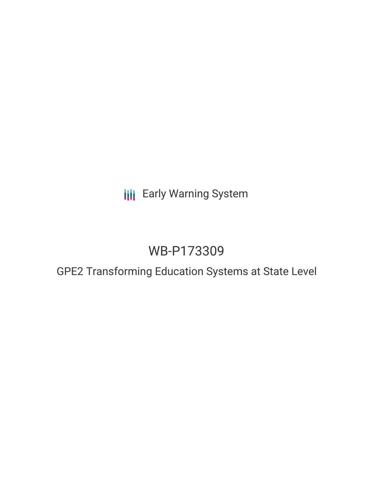# **III** Early Warning System

# WB-P173309

## GPE2 Transforming Education Systems at State Level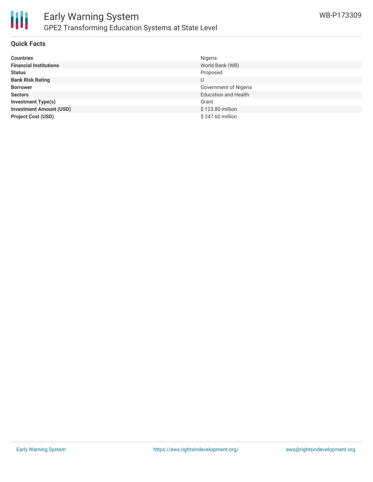

#### **Quick Facts**

| <b>Countries</b>               | Nigeria                     |
|--------------------------------|-----------------------------|
| <b>Financial Institutions</b>  | World Bank (WB)             |
| <b>Status</b>                  | Proposed                    |
| <b>Bank Risk Rating</b>        | U                           |
| <b>Borrower</b>                | Government of Nigeria       |
| <b>Sectors</b>                 | <b>Education and Health</b> |
| <b>Investment Type(s)</b>      | Grant                       |
| <b>Investment Amount (USD)</b> | \$123.80 million            |
| <b>Project Cost (USD)</b>      | \$247.60 million            |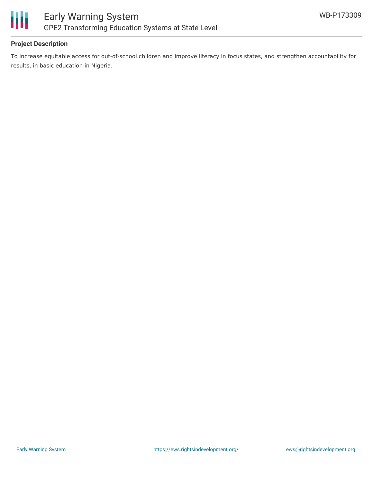

### **Project Description**

To increase equitable access for out-of-school children and improve literacy in focus states, and strengthen accountability for results, in basic education in Nigeria.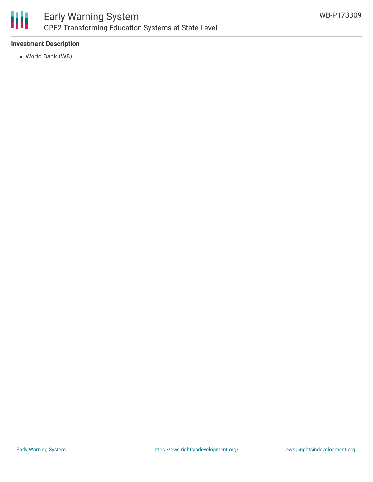

### **Investment Description**

World Bank (WB)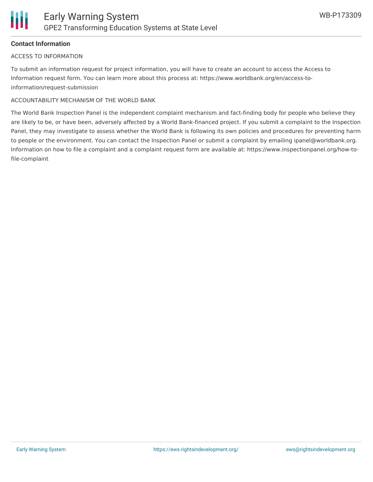### **Contact Information**

#### ACCESS TO INFORMATION

To submit an information request for project information, you will have to create an account to access the Access to Information request form. You can learn more about this process at: https://www.worldbank.org/en/access-toinformation/request-submission

#### ACCOUNTABILITY MECHANISM OF THE WORLD BANK

The World Bank Inspection Panel is the independent complaint mechanism and fact-finding body for people who believe they are likely to be, or have been, adversely affected by a World Bank-financed project. If you submit a complaint to the Inspection Panel, they may investigate to assess whether the World Bank is following its own policies and procedures for preventing harm to people or the environment. You can contact the Inspection Panel or submit a complaint by emailing ipanel@worldbank.org. Information on how to file a complaint and a complaint request form are available at: https://www.inspectionpanel.org/how-tofile-complaint